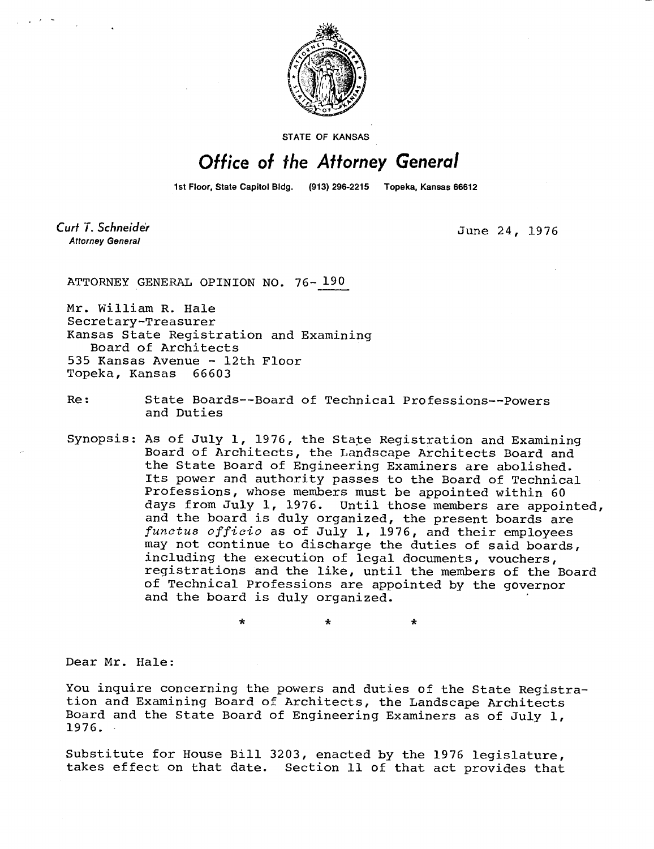

**STATE OF KANSAS** 

## Office of the Attorney General

1st Floor, State Capitol Bldg. (913) 296-2215 Topeka, Kansas 66612

Curt T. Schneider **Attorney General** 

June 24, 1976

ATTORNEY GENERAL OPINION NO. 76-190

Mr. William R. Hale Secretary-Treasurer Kansas State Registration and Examining Board of Architects 535 Kansas Avenue - 12th Floor Topeka, Kansas 66603

Re: State Boards--Board of Technical Professions--Powers and Duties

Synopsis: As of July 1, 1976, the State Registration and Examining Board of Architects, the Landscape Architects Board and the State Board of Engineering Examiners are abolished. Its power and authority passes to the Board of Technical Professions, whose members must be appointed within 60 days from July 1, 1976. Until those members are appointed, and the board is duly organized, the present boards are functus officio as of July 1, 1976, and their employees may not continue to discharge the duties of said boards, including the execution of legal documents, vouchers, registrations and the like, until the members of the Board of Technical Professions are appointed by the governor and the board is duly organized.

\* \*

Dear Mr. Hale:

You inquire concerning the powers and duties of the State Registration and Examining Board of Architects, the Landscape Architects Board and the State Board of Engineering Examiners as of July 1, 1976.

Substitute for House Bill 3203, enacted by the 1976 legislature, takes effect on that date. Section 11 of that act provides that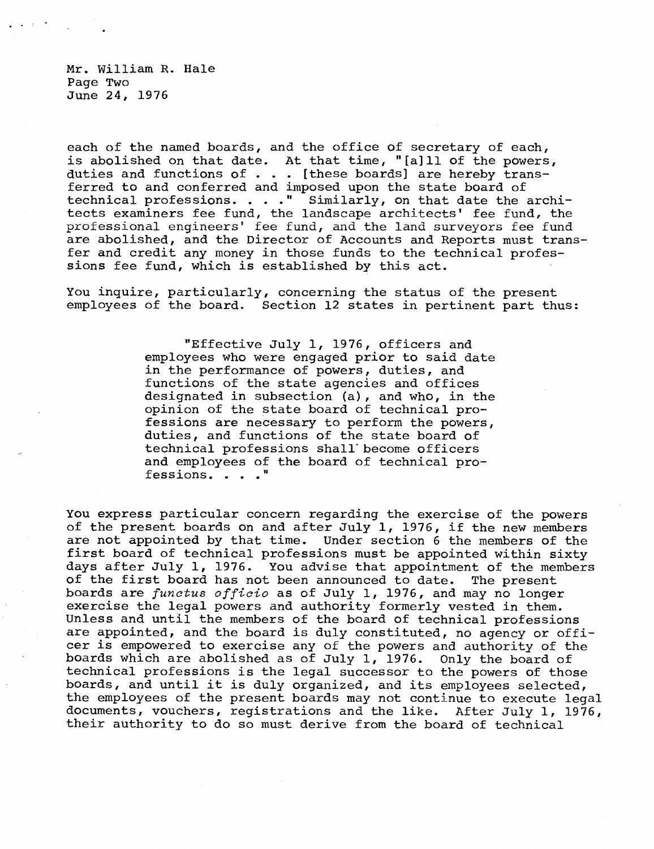Mr. William R. Hale Page Two June 24, 1976

each of the named boards, and the office of secretary of each, is abolished on that date. At that time, "[a]ll of the powers, duties and functions of . . . [these boards] are hereby transferred to and conferred and imposed upon the state board of technical professions. . . ." Similarly, on that date the architects examiners fee fund, the landscape architects' fee fund, the professional engineers' fee fund, and the land surveyors fee fund are abolished, and the Director of Accounts and Reports must transfer and credit any money in those funds to the technical professions fee fund, which is established by this act.

You inquire, particularly, concerning the status of the present employees of the board. Section 12 states in pertinent part thus:

> "Effective July 1, 1976, officers and employees who were engaged prior to said date in the performance of powers, duties, and functions of the state agencies and offices designated in subsection (a), and who, in the opinion of the state board of technical professions are necessary to perform the powers, duties, and functions of the state board of technical professions shall become officers and employees of the board of technical professions. . . ."

You express particular concern regarding the exercise of the powers of the present boards on and after July 1, 1976, if the new members are not appointed by that time. Under section 6 the members of the first board of technical professions must be appointed within sixty days after July 1, 1976. You advise that appointment of the members of the first board has not been announced to date. The present boards are *functus officio* as of July 1, 1976, and may no longer exercise the legal powers and authority formerly vested in them. Unless and until the members of the board of technical professions are appointed, and the board is duly constituted, no agency or officer is empowered to exercise any of the powers and authority of the boards which are abolished as of July 1, 1976. Only the board of technical professions is the legal successor to the powers of those boards, and until it is duly organized, and its employees selected, the employees of the present boards may not continue to execute legal documents, vouchers, registrations and the like. After July 1, 1976, their authority to do so must derive from the board of technical